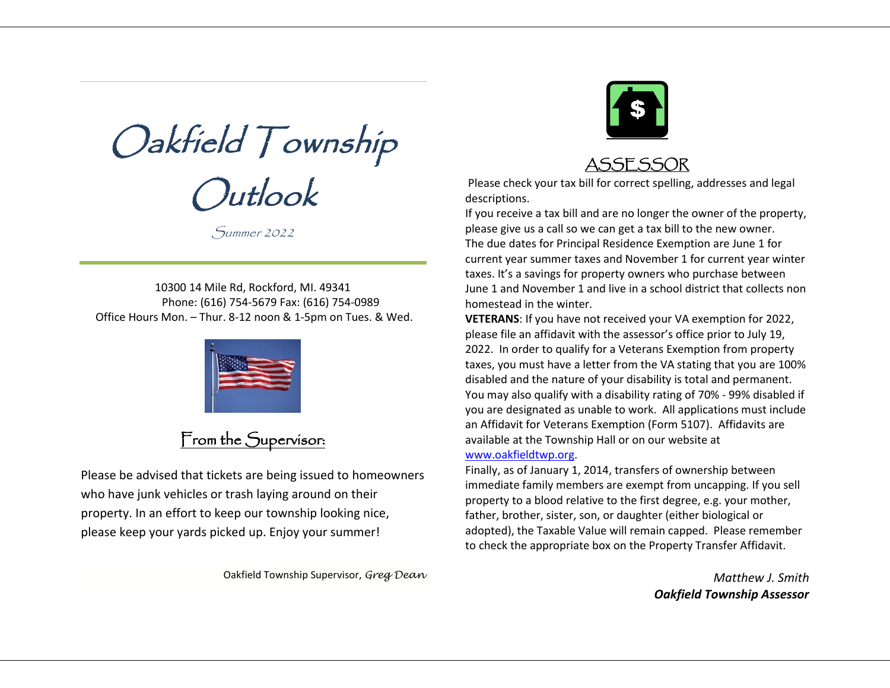Oakfield Township Outlook

Summer 2022

10300 14 Mile Rd, Rockford, MI. 49341 Phone: (616) 754-5679 Fax: (616) 754-0989 Office Hours Mon. – Thur. 8-12 noon & 1-5pm on Tues. & Wed.



## From the Supervisor:

Please be advised that tickets are being issued to homeowners who have junk vehicles or trash laying around on their property. In an effort to keep our township looking nice, please keep your yards picked up. Enjoy your summer!

Oakfield Township Supervisor, *Greg Dean*



## ASSESSOR

Please check your tax bill for correct spelling, addresses and legal descriptions.

If you receive a tax bill and are no longer the owner of the property, please give us a call so we can get a tax bill to the new owner. The due dates for Principal Residence Exemption are June 1 for current year summer taxes and November 1 for current year winter taxes. It's a savings for property owners who purchase between June 1 and November 1 and live in a school district that collects non homestead in the winter.

**VETERANS**: If you have not received your VA exemption for 2022, please file an affidavit with the assessor's office prior to July 19, 2022. In order to qualify for a Veterans Exemption from property taxes, you must have a letter from the VA stating that you are 100% disabled and the nature of your disability is total and permanent. You may also qualify with a disability rating of 70% - 99% disabled if you are designated as unable to work. All applications must include an Affidavit for Veterans Exemption (Form 5107). Affidavits are available at the Township Hall or on our website at [www.oakfieldtwp.org.](http://www.oakfieldtwp.org/)

Finally, as of January 1, 2014, transfers of ownership between immediate family members are exempt from uncapping. If you sell property to a blood relative to the first degree, e.g. your mother, father, brother, sister, son, or daughter (either biological or adopted), the Taxable Value will remain capped. Please remember to check the appropriate box on the Property Transfer Affidavit.

> *Matthew J. Smith Oakfield Township Assessor*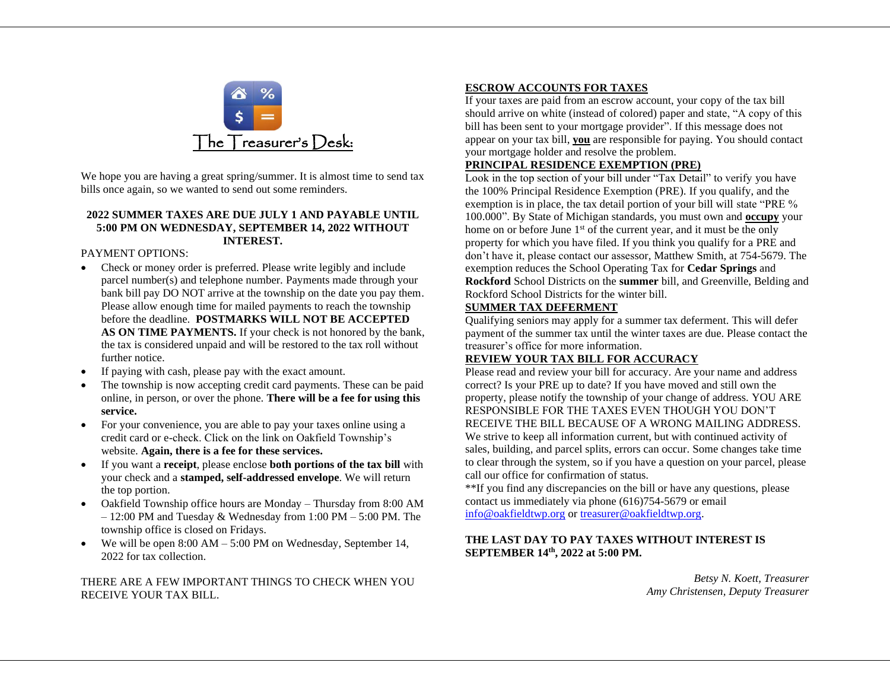

We hope you are having a great spring/summer. It is almost time to send tax bills once again, so we wanted to send out some reminders.

#### **2022 SUMMER TAXES ARE DUE JULY 1 AND PAYABLE UNTIL 5:00 PM ON WEDNESDAY, SEPTEMBER 14, 2022 WITHOUT INTEREST.**

PAYMENT OPTIONS:

- Check or money order is preferred. Please write legibly and include parcel number(s) and telephone number. Payments made through your bank bill pay DO NOT arrive at the township on the date you pay them. Please allow enough time for mailed payments to reach the township before the deadline. **POSTMARKS WILL NOT BE ACCEPTED AS ON TIME PAYMENTS.** If your check is not honored by the bank, the tax is considered unpaid and will be restored to the tax roll without further notice.
- If paying with cash, please pay with the exact amount.
- The township is now accepting credit card payments. These can be paid online, in person, or over the phone. **There will be a fee for using this service.**
- For your convenience, you are able to pay your taxes online using a credit card or e-check. Click on the link on Oakfield Township's website. **Again, there is a fee for these services.**
- If you want a **receipt**, please enclose **both portions of the tax bill** with your check and a **stamped, self-addressed envelope**. We will return the top portion.
- Oakfield Township office hours are Monday Thursday from 8:00 AM – 12:00 PM and Tuesday & Wednesday from 1:00 PM – 5:00 PM. The township office is closed on Fridays.
- We will be open 8:00 AM 5:00 PM on Wednesday, September 14, 2022 for tax collection.

THERE ARE A FEW IMPORTANT THINGS TO CHECK WHEN YOU RECEIVE YOUR TAX BILL.

### **ESCROW ACCOUNTS FOR TAXES**

If your taxes are paid from an escrow account, your copy of the tax bill should arrive on white (instead of colored) paper and state, "A copy of this bill has been sent to your mortgage provider". If this message does not appear on your tax bill, **you** are responsible for paying. You should contact your mortgage holder and resolve the problem.

### **PRINCIPAL RESIDENCE EXEMPTION (PRE)**

Look in the top section of your bill under "Tax Detail" to verify you have the 100% Principal Residence Exemption (PRE). If you qualify, and the exemption is in place, the tax detail portion of your bill will state "PRE % 100.000". By State of Michigan standards, you must own and **occupy** your home on or before June 1<sup>st</sup> of the current year, and it must be the only property for which you have filed. If you think you qualify for a PRE and don't have it, please contact our assessor, Matthew Smith, at 754-5679. The exemption reduces the School Operating Tax for **Cedar Springs** and **Rockford** School Districts on the **summer** bill, and Greenville, Belding and Rockford School Districts for the winter bill.

### **SUMMER TAX DEFERMENT**

Qualifying seniors may apply for a summer tax deferment. This will defer payment of the summer tax until the winter taxes are due. Please contact the treasurer's office for more information.

### **REVIEW YOUR TAX BILL FOR ACCURACY**

Please read and review your bill for accuracy. Are your name and address correct? Is your PRE up to date? If you have moved and still own the property, please notify the township of your change of address. YOU ARE RESPONSIBLE FOR THE TAXES EVEN THOUGH YOU DON'T RECEIVE THE BILL BECAUSE OF A WRONG MAILING ADDRESS. We strive to keep all information current, but with continued activity of sales, building, and parcel splits, errors can occur. Some changes take time to clear through the system, so if you have a question on your parcel, please call our office for confirmation of status.

\*\*If you find any discrepancies on the bill or have any questions, please contact us immediately via phone (616)754-5679 or email [info@oakfieldtwp.org](mailto:info@oakfieldtwp.org) or [treasurer@oakfieldtwp.org.](mailto:treasurer@oakfieldtwp.org)

### **THE LAST DAY TO PAY TAXES WITHOUT INTEREST IS SEPTEMBER 14 th, 2022 at 5:00 PM.**

*Betsy N. Koett, Treasurer Amy Christensen, Deputy Treasurer*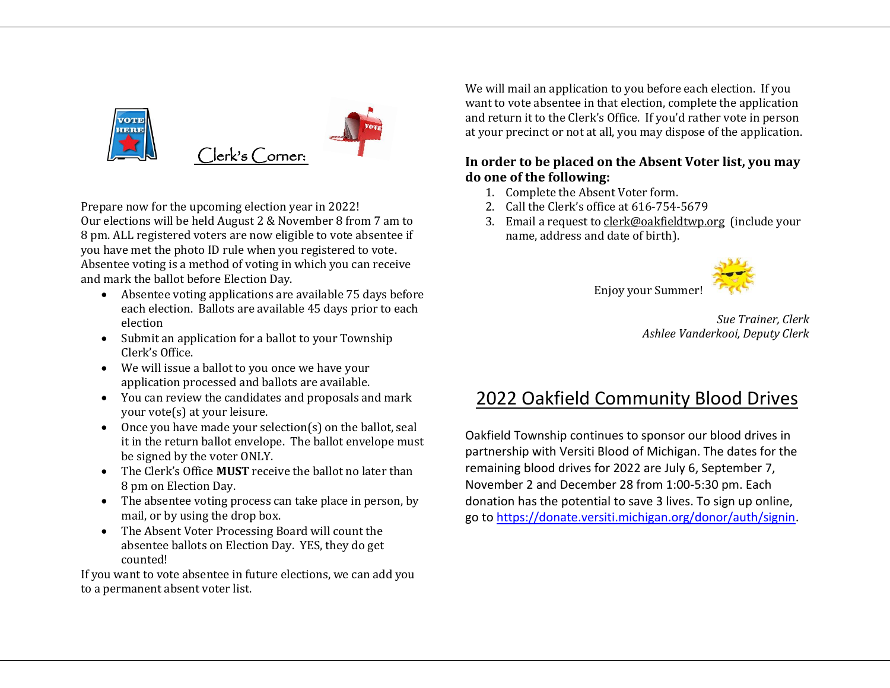

Prepare now for the upcoming election year in 2022! Our elections will be held August 2 & November 8 from 7 am to 8 pm. ALL registered voters are now eligible to vote absentee if you have met the photo ID rule when you registered to vote. Absentee voting is a method of voting in which you can receive and mark the ballot before Election Day.

- Absentee voting applications are available 75 days before each election. Ballots are available 45 days prior to each election
- Submit an application for a ballot to your Township Clerk's Office.
- We will issue a ballot to you once we have your application processed and ballots are available.
- You can review the candidates and proposals and mark your vote(s) at your leisure.
- Once you have made your selection(s) on the ballot, seal it in the return ballot envelope. The ballot envelope must be signed by the voter ONLY.
- The Clerk's Office **MUST** receive the ballot no later than 8 pm on Election Day.
- The absentee voting process can take place in person, by mail, or by using the drop box.
- The Absent Voter Processing Board will count the absentee ballots on Election Day. YES, they do get counted!

If you want to vote absentee in future elections, we can add you to a permanent absent voter list.

We will mail an application to you before each election. If you want to vote absentee in that election, complete the application and return it to the Clerk's Office. If you'd rather vote in person at your precinct or not at all, you may dispose of the application.

### **In order to be placed on the Absent Voter list, you may do one of the following:**

- 1. Complete the Absent Voter form.
- 2. Call the Clerk's office at 616-754-5679
- 3. Email a request t[o clerk@oakfieldtwp.org](mailto:clerk@oakfieldtwp.org) (include your name, address and date of birth).



Enjoy your Summer!

*Sue Trainer, Clerk Ashlee Vanderkooi, Deputy Clerk*

## 2022 Oakfield Community Blood Drives

Oakfield Township continues to sponsor our blood drives in partnership with Versiti Blood of Michigan. The dates for the remaining blood drives for 2022 are July 6, September 7, November 2 and December 28 from 1:00-5:30 pm. Each donation has the potential to save 3 lives. To sign up online, go to [https://donate.versiti.michigan.org/donor/auth/signin.](https://donate.versiti.michigan.org/donor/auth/signin)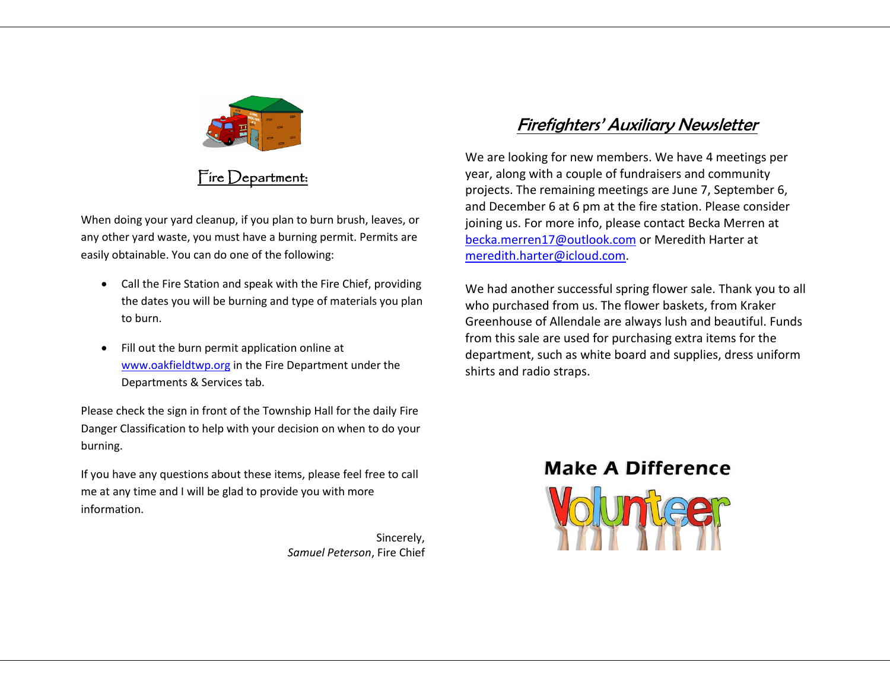

## Fire Department:

When doing your yard cleanup, if you plan to burn brush, leaves, or any other yard waste, you must have a burning permit. Permits are easily obtainable. You can do one of the following:

- Call the Fire Station and speak with the Fire Chief, providing the dates you will be burning and type of materials you plan to burn.
- Fill out the burn permit application online at www.oakfieldtwp.org in the Fire Department under the Departments & Services tab.

Please check the sign in front of the Township Hall for the daily Fire Danger Classification to help with your decision on when to do your burning.

If you have any questions about these items, please feel free to call me at any time and I will be glad to provide you with more information.

> Sincerely, *Samuel Peterson*, Fire Chief

## Firefighters' Auxiliary Newsletter

We are looking for new members. We have 4 meetings per year, along with a couple of fundraisers and community projects. The remaining meetings are June 7, September 6, and December 6 at 6 pm at the fire station. Please consider joining us. For more info, please contact Becka Merren at becka.merren17@outlook.com or Meredith Harter at meredith.harter@icloud.com.

We had another successful spring flower sale. Thank you to all who purchased from us. The flower baskets, from Kraker Greenhouse of Allendale are always lush and beautiful. Funds from this sale are used for purchasing extra items for the department, such as white board and supplies, dress uniform shirts and radio straps.

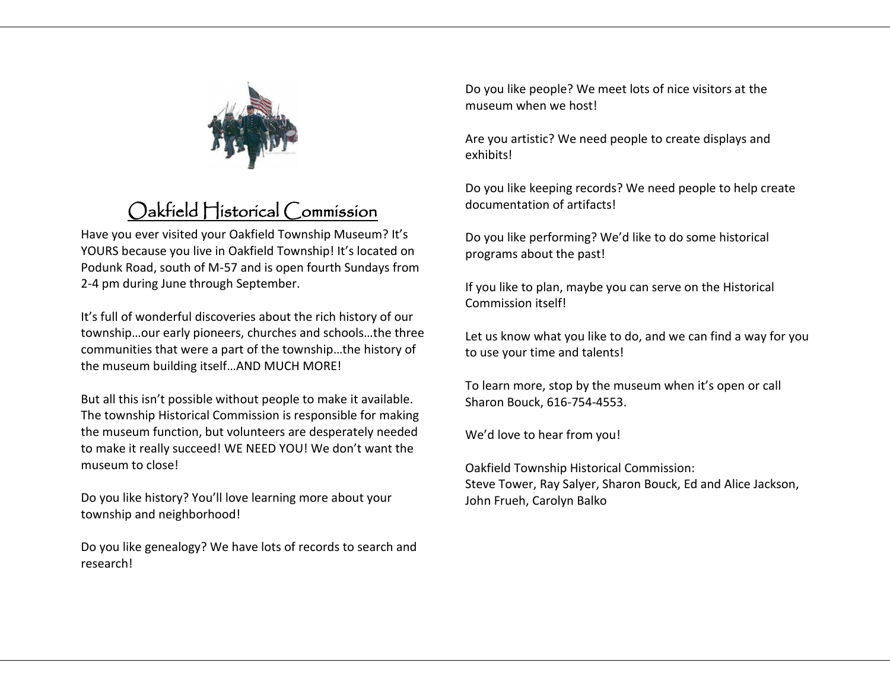

# Oakfield Historical Commission

Have you ever visited your Oakfield Township Museum? It's YOURS because you live in Oakfield Township! It's located on Podunk Road, south of M-57 and is open fourth Sundays from 2-4 pm during June through September.

It's full of wonderful discoveries about the rich history of our township…our early pioneers, churches and schools…the three communities that were a part of the township…the history of the museum building itself…AND MUCH MORE!

But all this isn't possible without people to make it available. The township Historical Commission is responsible for making the museum function, but volunteers are desperately needed to make it really succeed! WE NEED YOU! We don't want the museum to close!

Do you like history? You'll love learning more about your township and neighborhood!

Do you like genealogy? We have lots of records to search and research!

Do you like people? We meet lots of nice visitors at the museum when we host!

Are you artistic? We need people to create displays and exhibits!

Do you like keeping records? We need people to help create documentation of artifacts!

Do you like performing? We'd like to do some historical programs about the past!

If you like to plan, maybe you can serve on the Historical Commission itself!

Let us know what you like to do, and we can find a way for you to use your time and talents!

To learn more, stop by the museum when it's open or call Sharon Bouck, 616-754-4553.

We'd love to hear from you!

Oakfield Township Historical Commission: Steve Tower, Ray Salyer, Sharon Bouck, Ed and Alice Jackson, John Frueh, Carolyn Balko